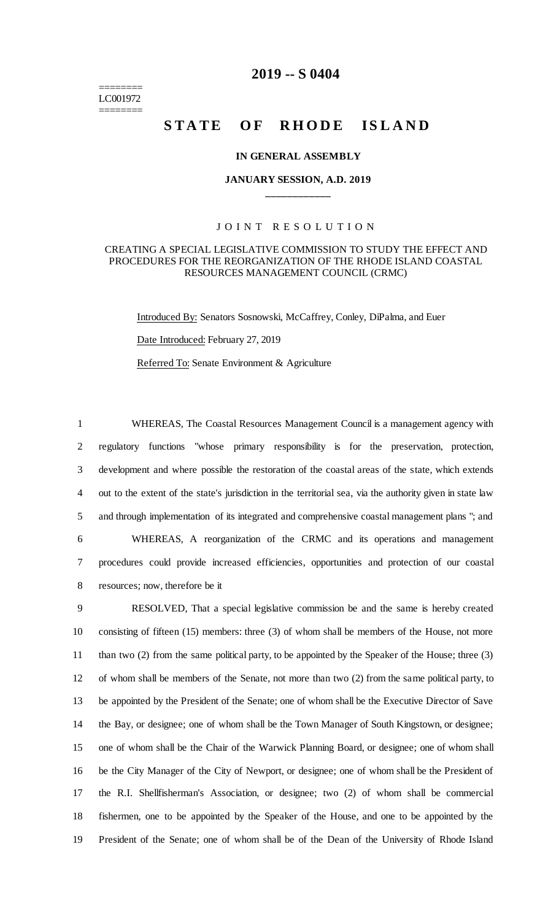======== LC001972 ========

## **2019 -- S 0404**

# **STATE OF RHODE ISLAND**

#### **IN GENERAL ASSEMBLY**

## **JANUARY SESSION, A.D. 2019 \_\_\_\_\_\_\_\_\_\_\_\_**

## JOINT RESOLUTION

#### CREATING A SPECIAL LEGISLATIVE COMMISSION TO STUDY THE EFFECT AND PROCEDURES FOR THE REORGANIZATION OF THE RHODE ISLAND COASTAL RESOURCES MANAGEMENT COUNCIL (CRMC)

Introduced By: Senators Sosnowski, McCaffrey, Conley, DiPalma, and Euer Date Introduced: February 27, 2019

Referred To: Senate Environment & Agriculture

 WHEREAS, The Coastal Resources Management Council is a management agency with regulatory functions "whose primary responsibility is for the preservation, protection, development and where possible the restoration of the coastal areas of the state, which extends out to the extent of the state's jurisdiction in the territorial sea, via the authority given in state law and through implementation of its integrated and comprehensive coastal management plans "; and WHEREAS, A reorganization of the CRMC and its operations and management procedures could provide increased efficiencies, opportunities and protection of our coastal resources; now, therefore be it

 RESOLVED, That a special legislative commission be and the same is hereby created consisting of fifteen (15) members: three (3) of whom shall be members of the House, not more than two (2) from the same political party, to be appointed by the Speaker of the House; three (3) of whom shall be members of the Senate, not more than two (2) from the same political party, to be appointed by the President of the Senate; one of whom shall be the Executive Director of Save the Bay, or designee; one of whom shall be the Town Manager of South Kingstown, or designee; one of whom shall be the Chair of the Warwick Planning Board, or designee; one of whom shall be the City Manager of the City of Newport, or designee; one of whom shall be the President of the R.I. Shellfisherman's Association, or designee; two (2) of whom shall be commercial fishermen, one to be appointed by the Speaker of the House, and one to be appointed by the President of the Senate; one of whom shall be of the Dean of the University of Rhode Island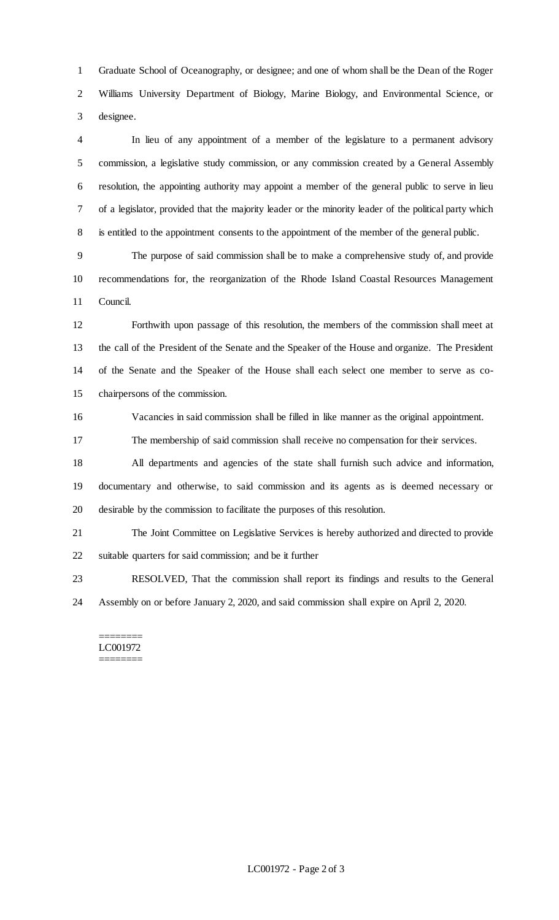Graduate School of Oceanography, or designee; and one of whom shall be the Dean of the Roger Williams University Department of Biology, Marine Biology, and Environmental Science, or designee.

 In lieu of any appointment of a member of the legislature to a permanent advisory commission, a legislative study commission, or any commission created by a General Assembly resolution, the appointing authority may appoint a member of the general public to serve in lieu of a legislator, provided that the majority leader or the minority leader of the political party which is entitled to the appointment consents to the appointment of the member of the general public.

 The purpose of said commission shall be to make a comprehensive study of, and provide recommendations for, the reorganization of the Rhode Island Coastal Resources Management Council.

 Forthwith upon passage of this resolution, the members of the commission shall meet at the call of the President of the Senate and the Speaker of the House and organize. The President of the Senate and the Speaker of the House shall each select one member to serve as co-chairpersons of the commission.

Vacancies in said commission shall be filled in like manner as the original appointment.

The membership of said commission shall receive no compensation for their services.

 All departments and agencies of the state shall furnish such advice and information, documentary and otherwise, to said commission and its agents as is deemed necessary or desirable by the commission to facilitate the purposes of this resolution.

 The Joint Committee on Legislative Services is hereby authorized and directed to provide suitable quarters for said commission; and be it further

 RESOLVED, That the commission shall report its findings and results to the General Assembly on or before January 2, 2020, and said commission shall expire on April 2, 2020.

======== LC001972 ========